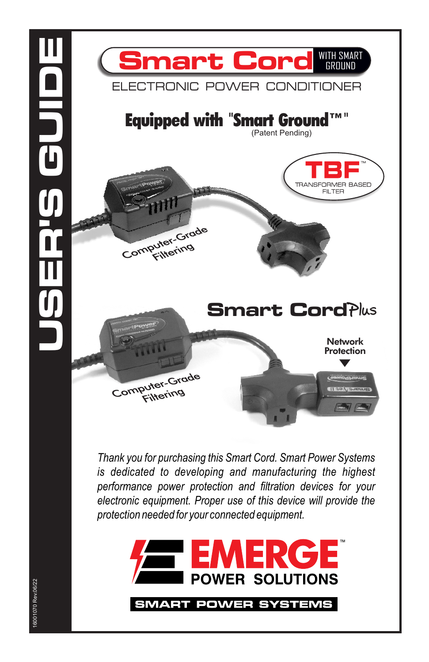



*Thank you for purchasing this Smart Cord. Smart Power Systems is dedicated to developing and manufacturing the highest performance power protection and filtration devices for your electronic equipment. Proper use of this device will provide the protection needed for your connected equipment.*



SMART POWER SYSTEMS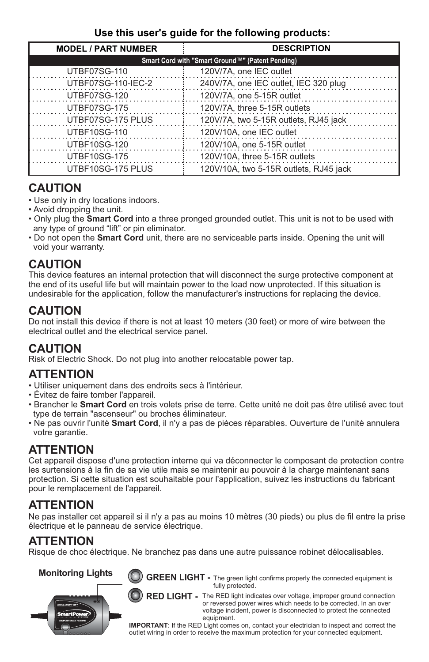#### **Use this user's guide for the following products:**

| <b>MODEL / PART NUMBER</b>                       | <b>DESCRIPTION</b>                     |
|--------------------------------------------------|----------------------------------------|
| Smart Cord with "Smart Ground™" (Patent Pending) |                                        |
| UTBF07SG-110                                     | 120V/7A, one IEC outlet                |
| UTBF07SG-110-IEC-2                               | 240V/7A, one IEC outlet, IEC 320 plug  |
| UTBF07SG-120                                     | 120V/7A, one 5-15R outlet              |
| UTBF07SG-175                                     | 120V/7A, three 5-15R outlets           |
| UTBF07SG-175 PLUS                                | 120V/7A, two 5-15R outlets, RJ45 jack  |
| UTBF10SG-110                                     | 120V/10A, one IEC outlet               |
| UTBF10SG-120                                     | 120V/10A, one 5-15R outlet             |
| UTBF10SG-175                                     | 120V/10A, three 5-15R outlets          |
| UTBF10SG-175 PLUS                                | 120V/10A, two 5-15R outlets, RJ45 jack |

## **CAUTION**

- Use only in dry locations indoors.
- Avoid dropping the unit.
- Only plug the **Smart Cord** into a three pronged grounded outlet. This unit is not to be used with any type of ground "lift" or pin eliminator.
- Do not open the **Smart Cord** unit, there are no serviceable parts inside. Opening the unit will void your warranty.

### **CAUTION**

This device features an internal protection that will disconnect the surge protective component at the end of its useful life but will maintain power to the load now unprotected. If this situation is undesirable for the application, follow the manufacturer's instructions for replacing the device.

## **CAUTION**

Do not install this device if there is not at least 10 meters (30 feet) or more of wire between the electrical outlet and the electrical service panel.

## **CAUTION**

Risk of Electric Shock. Do not plug into another relocatable power tap.

### **ATTENTION**

- Utiliser uniquement dans des endroits secs à l'intérieur.
- Évitez de faire tomber l'appareil.
- Brancher le **Smart Cord** en trois volets prise de terre. Cette unité ne doit pas être utilisé avec tout type de terrain "ascenseur" ou broches éliminateur.
- Ne pas ouvrir l'unité **Smart Cord**, il n'y a pas de pièces réparables. Ouverture de l'unité annulera votre garantie.

## **ATTENTION**

Cet appareil dispose d'une protection interne qui va déconnecter le composant de protection contre les surtensions à la fin de sa vie utile mais se maintenir au pouvoir à la charge maintenant sans protection. Si cette situation est souhaitable pour l'application, suivez les instructions du fabricant pour le remplacement de l'appareil.

## **ATTENTION**

Ne pas installer cet appareil si il n'y a pas au moins 10 mètres (30 pieds) ou plus de fil entre la prise électrique et le panneau de service électrique.

### **ATTENTION**

Risque de choc électrique. Ne branchez pas dans une autre puissance robinet délocalisables.



GREEN LIGHT - The green light confirms properly the connected equipment is fully protected.

**The RED light indicates over voltage, improper ground connection**  or reversed power wires which needs to be corrected. In an over voltage incident, power is disconnected to protect the connected

equipment.<br>**IMPORTANT**: If the RED Light comes on, contact your electrician to inspect and correct the outlet wiring in order to receive the maximum protection for your connected equipment.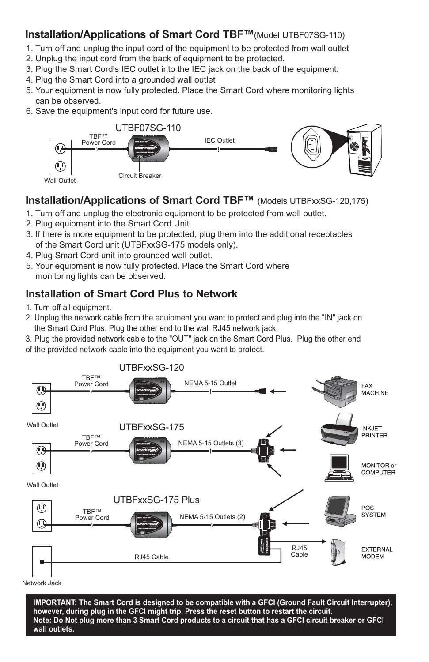#### **Installation/Applications of Smart Cord TBF™**(Model UTBF07SG-110)

- 1. Turn off and unplug the input cord of the equipment to be protected from wall outlet
- 2. Unplug the input cord from the back of equipment to be protected.
- 3. Plug the Smart Cord's IEC outlet into the IEC jack on the back of the equipment.
- 4. Plug the Smart Cord into a grounded wall outlet
- 5. Your equipment is now fully protected. Place the Smart Cord where monitoring lights can be observed.
- 6. Save the equipment's input cord for future use.



#### **Installation/Applications of Smart Cord TBF™** (Models UTBFxxSG-120,175)

- 1. Turn off and unplug the electronic equipment to be protected from wall outlet.
- 2. Plug equipment into the Smart Cord Unit.
- 3. If there is more equipment to be protected, plug them into the additional receptacles of the Smart Cord unit (UTBFxxSG-175 models only).
- 4. Plug Smart Cord unit into grounded wall outlet.
- 5. Your equipment is now fully protected. Place the Smart Cord where monitoring lights can be observed.

# **Installation of Smart Cord Plus to Network**

- 1. Turn off all equipment.
- 2 Unplug the network cable from the equipment you want to protect and plug into the "IN" jack on the Smart Cord Plus. Plug the other end to the wall RJ45 network jack.
- 3. Plug the provided network cable to the "OUT" jack on the Smart Cord Plus. Plug the other end of the provided network cable into the equipment you want to protect.



Network Jack

**IMPORTANT: The Smart Cord is designed to be compatible with a GFCI (Ground Fault Circuit Interrupter), however, during plug in the GFCI might trip. Press the reset button to restart the circuit. Note: Do Not plug more than 3 Smart Cord products to a circuit that has a GFCI circuit breaker or GFCI wall outlets.**